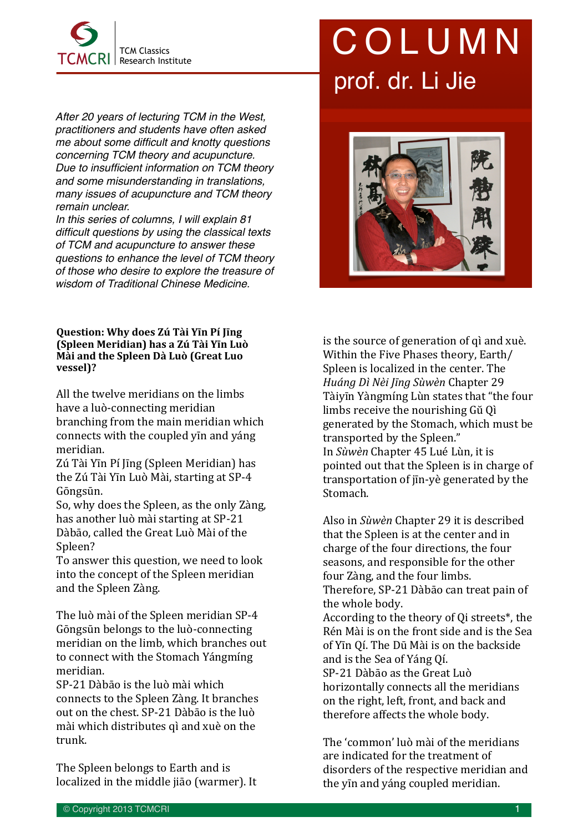

*After 20 years of lecturing TCM in the West, practitioners and students have often asked me about some difficult and knotty questions concerning TCM theory and acupuncture. Due to insufficient information on TCM theory and some misunderstanding in translations, many issues of acupuncture and TCM theory remain unclear.* 

*In this series of columns, I will explain 81 difficult questions by using the classical texts of TCM and acupuncture to answer these questions to enhance the level of TCM theory of those who desire to explore the treasure of wisdom of Traditional Chinese Medicine.*

## **Question: Why does Zú Tài Yīn Pí līng (Spleen Meridian) has a Zú Tài Yīn Luò Mài and the Spleen Dà Luò (Great Luo vessel)?**

All the twelve meridians on the limbs have a luò-connecting meridian branching from the main meridian which connects with the coupled yin and yáng meridian. 

Zú Tài Yīn Pí Jīng (Spleen Meridian) has the Zú Tài Yīn Luò Mài, starting at SP-4 Gōngsūn. 

So, why does the Spleen, as the only Zàng, has another luò mài starting at SP-21 Dàbāo, called the Great Luò Mài of the Spleen? 

To answer this question, we need to look into the concept of the Spleen meridian and the Spleen Zàng.

The luò mài of the Spleen meridian SP-4 Gōngsūn belongs to the luò-connecting meridian on the limb, which branches out to connect with the Stomach Yángmíng meridian. 

SP-21 Dàbāo is the luò mài which connects to the Spleen Zàng. It branches out on the chest. SP-21 Dàbāo is the luò mài which distributes qì and xuè on the trunk. 

The Spleen belongs to Earth and is localized in the middle jiāo (warmer). It

## COLUMN prof. dr. Li Jie



is the source of generation of q and xuè. Within the Five Phases theory, Earth/ Spleen is localized in the center. The *Huáng Dì Nèi Jīng Sùwèn* Chapter 29 Tàiyīn Yàngmíng Lùn states that "the four limbs receive the nourishing Gu Oi generated by the Stomach, which must be transported by the Spleen." In *Sùwèn* Chapter 45 Lué Lùn, it is pointed out that the Spleen is in charge of transportation of jin-yè generated by the Stomach. 

Also in *Sùwèn* Chapter 29 it is described that the Spleen is at the center and in charge of the four directions, the four seasons, and responsible for the other four Zàng, and the four limbs. Therefore, SP-21 Dàbāo can treat pain of the whole body. According to the theory of Qi streets<sup>\*</sup>, the Rén Mài is on the front side and is the Sea of Yīn Qí. The Dū Mài is on the backside and is the Sea of Yáng Oí. SP-21 Dàbāo as the Great Luò horizontally connects all the meridians on the right, left, front, and back and therefore affects the whole body.

The 'common' luò mài of the meridians are indicated for the treatment of disorders of the respective meridian and the yin and yáng coupled meridian.